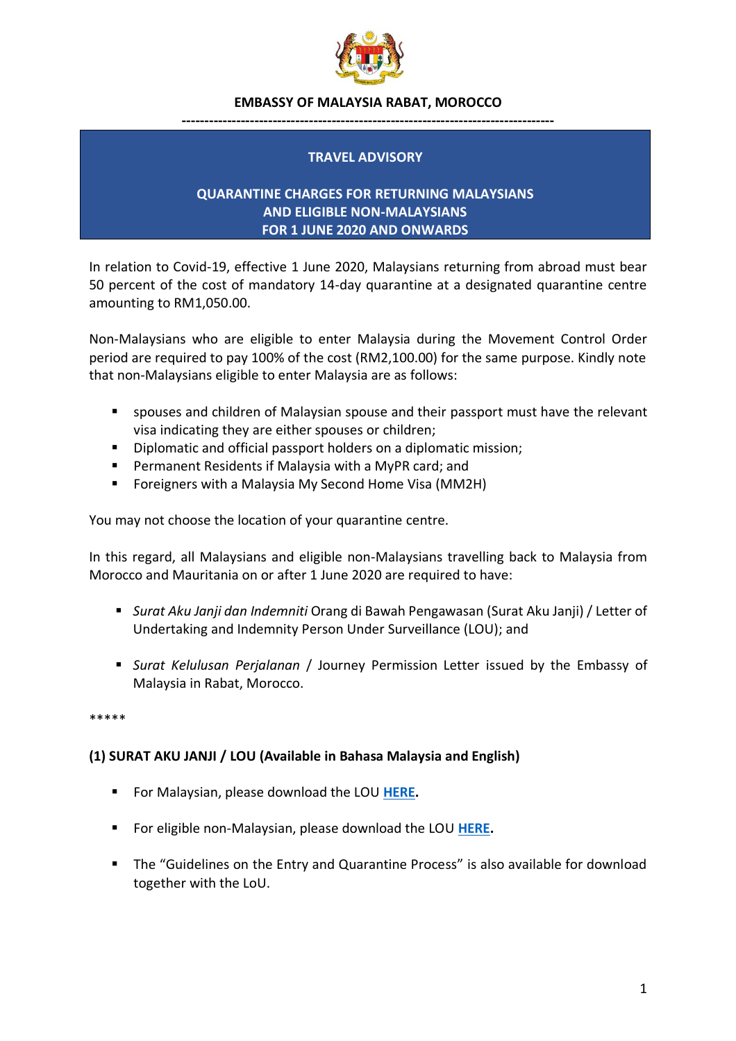

#### **EMBASSY OF MALAYSIA RABAT, MOROCCO**

#### **----------------------------------------------------------------------------------**

## **TRAVEL ADVISORY**

## **QUARANTINE CHARGES FOR RETURNING MALAYSIANS AND ELIGIBLE NON-MALAYSIANS FOR 1 JUNE 2020 AND ONWARDS**

In relation to Covid-19, effective 1 June 2020, Malaysians returning from abroad must bear 50 percent of the cost of mandatory 14-day quarantine at a designated quarantine centre amounting to RM1,050.00.

Non-Malaysians who are eligible to enter Malaysia during the Movement Control Order period are required to pay 100% of the cost (RM2,100.00) for the same purpose. Kindly note that non-Malaysians eligible to enter Malaysia are as follows:

- spouses and children of Malaysian spouse and their passport must have the relevant visa indicating they are either spouses or children;
- Diplomatic and official passport holders on a diplomatic mission;
- Permanent Residents if Malaysia with a MyPR card; and
- Foreigners with a Malaysia My Second Home Visa (MM2H)

You may not choose the location of your quarantine centre.

In this regard, all Malaysians and eligible non-Malaysians travelling back to Malaysia from Morocco and Mauritania on or after 1 June 2020 are required to have:

- *Surat Aku Janji dan Indemniti* Orang di Bawah Pengawasan (Surat Aku Janji) / Letter of Undertaking and Indemnity Person Under Surveillance (LOU); and
- *Surat Kelulusan Perjalanan* / Journey Permission Letter issued by the Embassy of Malaysia in Rabat, Morocco.

\*\*\*\*\*

# **(1) SURAT AKU JANJI / LOU (Available in Bahasa Malaysia and English)**

- For Malaysian, please download the LOU **[HERE.](https://drive.google.com/drive/folders/1Zv8Yrc9UX2Sd2ho0ZrtE4nZ8ODKn4UTo?usp=sharing)**
- For eligible non-Malaysian, please download the LOU **[HERE.](https://drive.google.com/drive/folders/1Zv8Yrc9UX2Sd2ho0ZrtE4nZ8ODKn4UTo?usp=sharing)**
- The "Guidelines on the Entry and Quarantine Process" is also available for download together with the LoU.